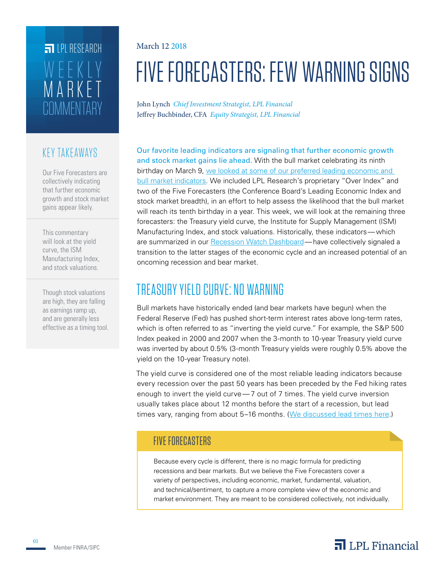# **COMMENTARY** MARKET WEEKLY **FILPI RESEARCH**

## KEY TAKEAWAYS

Our Five Forecasters are collectively indicating that further economic growth and stock market gains appear likely.

This commentary will look at the yield curve, the ISM Manufacturing Index, and stock valuations.

Though stock valuations are high, they are falling as earnings ramp up, and are generally less effective as a timing tool.

#### March 12 2018

# FIVE FORECASTERS: FEW WARNING SIGNS

John Lynch *Chief Investment Strategist, LPL Financial* Jeffrey Buchbinder, CFA *Equity Strategist, LPL Financial*

Our favorite leading indicators are signaling that further economic growth and stock market gains lie ahead. With the bull market celebrating its ninth birthday on March 9, we looked at some of our preferred leading economic and bull market indicators. We included LPL Research's proprietary "Over Index" and two of the Five Forecasters (the Conference Board's Leading Economic Index and stock market breadth), in an effort to help assess the likelihood that the bull market will reach its tenth birthday in a year. This week, we will look at the remaining three forecasters: the Treasury yield curve, the Institute for Supply Management (ISM) Manufacturing Index, and stock valuations. Historically, these indicators—which are summarized in our Recession Watch Dashboard—have collectively signaled a transition to the latter stages of the economic cycle and an increased potential of an oncoming recession and bear market.

# TREASURY YIELD CURVE: NO WARNING

Bull markets have historically ended (and bear markets have begun) when the Federal Reserve (Fed) has pushed short-term interest rates above long-term rates, which is often referred to as "inverting the yield curve." For example, the S&P 500 Index peaked in 2000 and 2007 when the 3-month to 10-year Treasury yield curve was inverted by about 0.5% (3-month Treasury yields were roughly 0.5% above the yield on the 10-year Treasury note).

The yield curve is considered one of the most reliable leading indicators because every recession over the past 50 years has been preceded by the Fed hiking rates enough to invert the yield curve—7 out of 7 times. The yield curve inversion usually takes place about 12 months before the start of a recession, but lead times vary, ranging from about 5–16 months. (We discussed lead times here.)

## FIVE FORECASTERS

Because every cycle is different, there is no magic formula for predicting recessions and bear markets. But we believe the Five Forecasters cover a variety of perspectives, including economic, market, fundamental, valuation, and technical/sentiment, to capture a more complete view of the economic and market environment. They are meant to be considered collectively, not individually.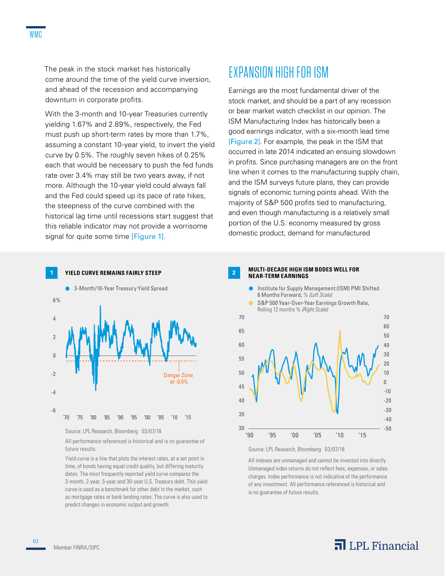The peak in the stock market has historically come around the time of the yield curve inversion, and ahead of the recession and accompanying downturn in corporate profits.

With the 3-month and 10-year Treasuries currently yielding 1.67% and 2.89%, respectively, the Fed must push up short-term rates by more than 1.7%, assuming a constant 10-year yield, to invert the yield curve by 0.5%. The roughly seven hikes of 0.25% each that would be necessary to push the fed funds rate over 3.4% may still be two years away, if not more. Although the 10-year yield could always fall and the Fed could speed up its pace of rate hikes, the steepness of the curve combined with the historical lag time until recessions start suggest that this reliable indicator may not provide a worrisome signal for quite some time [Figure 1].

# EXPANSION HIGH FOR ISM

Earnings are the most fundamental driver of the stock market, and should be a part of any recession or bear market watch checklist in our opinion. The ISM Manufacturing Index has historically been a good earnings indicator, with a six-month lead time [Figure 2]. For example, the peak in the ISM that occurred in late 2014 indicated an ensuing slowdown in profits. Since purchasing managers are on the front line when it comes to the manufacturing supply chain, and the ISM surveys future plans, they can provide signals of economic turning points ahead. With the majority of S&P 500 profits tied to manufacturing, and even though manufacturing is a relatively small portion of the U.S. economy measured by gross domestic product, demand for manufactured



Source: LPL Research, Bloomberg 03/07/18

All performance referenced is historical and is no guarantee of future results.

Yield curve is a line that plots the interest rates, at a set point in time, of bonds having equal credit quality, but differing maturity dates. The most frequently reported yield curve compares the 3-month, 2-year, 5-year and 30-year U.S. Treasury debt. This yield curve is used as a benchmark for other debt in the market, such as mortgage rates or bank lending rates. The curve is also used to predict changes in economic output and growth.

#### **<sup>2</sup> MULTI-DECADE HIGH ISM BODES WELL FOR NEAR-TERM EARNINGS**





All indexes are unmanaged and cannot be invested into directly. Unmanaged index returns do not reflect fees, expenses, or sales charges. Index performance is not indicative of the performance of any investment. All performance referenced is historical and is no guarantee of future results.

02

## $\overline{\mathbf{a}}$  LPL Financial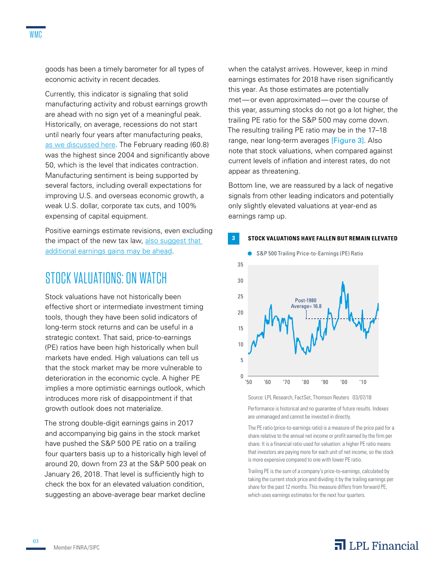goods has been a timely barometer for all types of economic activity in recent decades.

Currently, this indicator is signaling that solid manufacturing activity and robust earnings growth are ahead with no sign yet of a meaningful peak. Historically, on average, recessions do not start until nearly four years after manufacturing peaks, as we discussed here. The February reading (60.8) was the highest since 2004 and significantly above 50, which is the level that indicates contraction. Manufacturing sentiment is being supported by several factors, including overall expectations for improving U.S. and overseas economic growth, a weak U.S. dollar, corporate tax cuts, and 100% expensing of capital equipment.

Positive earnings estimate revisions, even excluding the impact of the new tax law, also suggest that additional earnings gains may be ahead.

## STOCK VALUATIONS: ON WATCH

Stock valuations have not historically been effective short or intermediate investment timing tools, though they have been solid indicators of long-term stock returns and can be useful in a strategic context. That said, price-to-earnings (PE) ratios have been high historically when bull markets have ended. High valuations can tell us that the stock market may be more vulnerable to deterioration in the economic cycle. A higher PE implies a more optimistic earnings outlook, which introduces more risk of disappointment if that growth outlook does not materialize.

The strong double-digit earnings gains in 2017 and accompanying big gains in the stock market have pushed the S&P 500 PE ratio on a trailing four quarters basis up to a historically high level of around 20, down from 23 at the S&P 500 peak on January 26, 2018. That level is sufficiently high to check the box for an elevated valuation condition, suggesting an above-average bear market decline

when the catalyst arrives. However, keep in mind earnings estimates for 2018 have risen significantly this year. As those estimates are potentially met—or even approximated—over the course of this year, assuming stocks do not go a lot higher, the trailing PE ratio for the S&P 500 may come down. The resulting trailing PE ratio may be in the 17–18 range, near long-term averages [Figure 3]. Also note that stock valuations, when compared against current levels of inflation and interest rates, do not appear as threatening.

Bottom line, we are reassured by a lack of negative signals from other leading indicators and potentially only slightly elevated valuations at year-end as earnings ramp up.

#### **3 STOCK VALUATIONS HAVE FALLEN BUT REMAIN ELEVATED**



Source: LPL Research, FactSet, Thomson Reuters 03/07/18 Performance is historical and no guarantee of future results. Indexes are unmanaged and cannot be invested in directly.

The PE ratio (price-to-earnings ratio) is a measure of the price paid for a share relative to the annual net income or profit earned by the firm per share. It is a financial ratio used for valuation: a higher PE ratio means that investors are paying more for each unit of net income, so the stock is more expensive compared to one with lower PE ratio.

Trailing PE is the sum of a company's price-to-earnings, calculated by taking the current stock price and dividing it by the trailing earnings per share for the past 12 months. This measure differs from forward PE, which uses earnings estimates for the next four quarters.

## $\overline{\mathbf{a}}$  LPL Financial